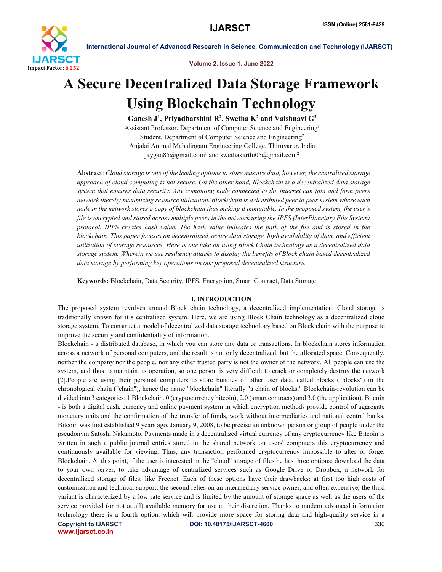

Volume 2, Issue 1, June 2022

# A Secure Decentralized Data Storage Framework Using Blockchain Technology

Ganesh J<sup>1</sup>, Priyadharshini R<sup>2</sup>, Swetha K<sup>2</sup> and Vaishnavi G<sup>2</sup>

Assistant Professor, Department of Computer Science and Engineering1 Student, Department of Computer Science and Engineering2 Anjalai Ammal Mahalingam Engineering College, Thiruvarur, India jaygan85@gmail.com<sup>1</sup> and swethakarthi05@gmail.com<sup>2</sup>

Abstract: *Cloud storage is one of the leading options to store massive data, however, the centralized storage approach of cloud computing is not secure. On the other hand, Blockchain is a decentralized data storage system that ensures data security. Any computing node connected to the internet can join and form peers network thereby maximizing resource utilization. Blockchain is a distributed peer to peer system where each node in the network stores a copy of blockchain thus making it immutable. In the proposed system, the user's file is encrypted and stored across multiple peers in the network using the IPFS (InterPlanetary File System) protocol. IPFS creates hash value. The hash value indicates the path of the file and is stored in the blockchain. This paper focuses on decentralized secure data storage, high availability of data, and efficient utilization of storage resources. Here is our take on using Block Chain technology as a decentralized data storage system. Wherein we use resiliency attacks to display the benefits of Block chain based decentralized data storage by performing key operations on our proposed decentralized structure.*

Keywords: Blockchain, Data Security, IPFS, Encryption, Smart Contract, Data Storage

# I. INTRODUCTION

The proposed system revolves around Block chain technology, a decentralized implementation. Cloud storage is traditionally known for it's centralized system. Here, we are using Block Chain technology as a decentralized cloud storage system. To construct a model of decentralized data storage technology based on Block chain with the purpose to improve the security and confidentiality of information.

Blockchain - a distributed database, in which you can store any data or transactions. In blockchain stores information across a network of personal computers, and the result is not only decentralized, but the allocated space. Consequently, neither the company nor the people, nor any other trusted party is not the owner of the network. All people can use the system, and thus to maintain its operation, so one person is very difficult to crack or completely destroy the network [2].People are using their personal computers to store bundles of other user data, called blocks ("blocks") in the chronological chain ("chain"), hence the name "blockchain" literally "a chain of blocks." Blockchain-revolution can be divided into 3 categories: 1 Blockchain. 0 (cryptocurrency bitcoin), 2.0 (smart contracts) and 3.0 (the application). Bitcoin - is both a digital cash, currency and online payment system in which encryption methods provide control of aggregate monetary units and the confirmation of the transfer of funds, work without intermediaries and national central banks. Bitcoin was first established 9 years ago, January 9, 2008, to be precise an unknown person or group of people under the pseudonym Satoshi Nakamoto. Payments made in a decentralized virtual currency of any cryptocurrency like Bitcoin is written in such a public journal entries stored in the shared network on users' computers this cryptocurrency and continuously available for viewing. Thus, any transaction performed cryptocurrency impossible to alter or forge. Blockchain, At this point, if the user is interested in the "cloud" storage of files he has three options: download the data to your own server, to take advantage of centralized services such as Google Drive or Dropbox, a network for decentralized storage of files, like Freenet. Each of these options have their drawbacks; at first too high costs of customization and technical support, the second relies on an intermediary service owner, and often expensive, the third variant is characterized by a low rate service and is limited by the amount of storage space as well as the users of the service provided (or not at all) available memory for use at their discretion. Thanks to modern advanced information technology there is a fourth option, which will provide more space for storing data and high-quality service in a

www.ijarsct.co.in

Copyright to IJARSCT **DOI: 10.48175/IJARSCT-4600** 330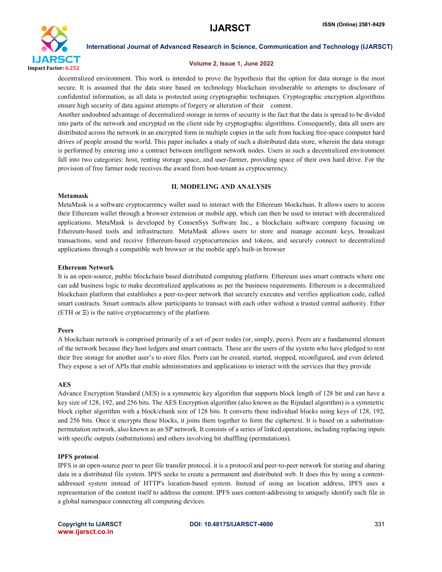

# Volume 2, Issue 1, June 2022

decentralized environment. This work is intended to prove the hypothesis that the option for data storage is the most secure. It is assumed that the data store based on technology blockchain invulnerable to attempts to disclosure of confidential information, as all data is protected using cryptographic techniques. Cryptographic encryption algorithms ensure high security of data against attempts of forgery or alteration of their content.

Another undoubted advantage of decentralized storage in terms of security is the fact that the data is spread to be divided into parts of the network and encrypted on the client side by cryptographic algorithms. Consequently, data all users are distributed across the network in an encrypted form in multiple copies in the safe from hacking free-space computer hard drives of people around the world. This paper includes a study of such a distributed data store, wherein the data storage is performed by entering into a contract between intelligent network nodes. Users in such a decentralized environment fall into two categories: host, renting storage space, and user-farmer, providing space of their own hard drive. For the provision of free farmer node receives the award from host-tenant as cryptocurrency.

# II. MODELING AND ANALYSIS

# Metamask

MetaMask is a software cryptocurrency wallet used to interact with the Ethereum blockchain. It allows users to access their Ethereum wallet through a browser extension or mobile app, which can then be used to interact with decentralized applications. MetaMask is developed by ConsenSys Software Inc., a blockchain software company focusing on Ethereum-based tools and infrastructure. MetaMask allows users to store and manage account keys, broadcast transactions, send and receive Ethereum-based cryptocurrencies and tokens, and securely connect to decentralized applications through a compatible web browser or the mobile app's built-in browser

# Ethereum Network

It is an open-source, public blockchain based distributed computing platform. Ethereum uses smart contracts where one can add business logic to make decentralized applications as per the business requirements. Ethereum is a decentralized blockchain platform that establishes a peer-to-peer network that securely executes and verifies application code, called smart contracts. Smart contracts allow participants to transact with each other without a trusted central authority. Ether (ETH or Ξ) is the native cryptocurrency of the platform.

# Peers

A blockchain network is comprised primarily of a set of peer nodes (or, simply, peers). Peers are a fundamental element of the network because they host ledgers and smart contracts. These are the users of the system who have pledged to rent their free storage for another user's to store files. Peers can be created, started, stopped, reconfigured, and even deleted. They expose a set of APIs that enable administrators and applications to interact with the services that they provide

# AES

Advance Encryption Standard (AES) is a symmetric key algorithm that supports block length of 128 bit and can have a key size of 128, 192, and 256 bits. The AES Encryption algorithm (also known as the Rijndael algorithm) is a symmetric block cipher algorithm with a block/chunk size of 128 bits. It converts these individual blocks using keys of 128, 192, and 256 bits. Once it encrypts these blocks, it joins them together to form the ciphertext. It is based on a substitutionpermutation network, also known as an SP network. It consists of a series of linked operations, including replacing inputs with specific outputs (substitutions) and others involving bit shuffling (permutations).

# IPFS protocol

IPFS is an open-source peer to peer file transfer protocol. it is a protocol and peer-to-peer network for storing and sharing data in a distributed file system. IPFS seeks to create a permanent and distributed web. It does this by using a contentaddressed system instead of HTTP's location-based system. Instead of using an location address, IPFS uses a representation of the content itself to address the content. IPFS uses content-addressing to uniquely identify each file in a global namespace connecting all computing devices.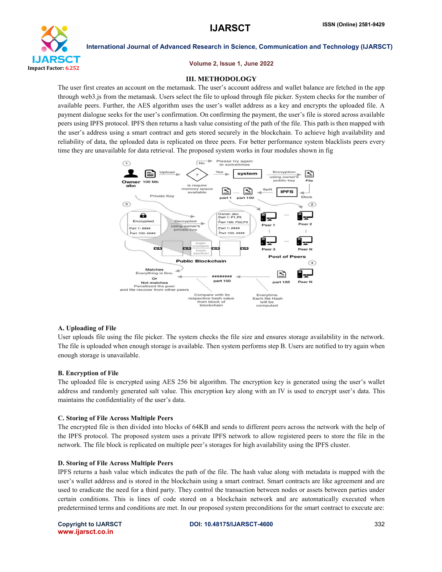

## Volume 2, Issue 1, June 2022

# **III. METHODOLOGY**

The user first creates an account on the metamask. The user's account address and wallet balance are fetched in the app through web3.js from the metamask. Users select the file to upload through file picker. System checks for the number of available peers. Further, the AES algorithm uses the user's wallet address as a key and encrypts the uploaded file. A payment dialogue seeks for the user's confirmation. On confirming the payment, the user's file is stored across available peers using IPFS protocol. IPFS then returns a hash value consisting of the path of the file. This path is then mapped with the user's address using a smart contract and gets stored securely in the blockchain. To achieve high availability and reliability of data, the uploaded data is replicated on three peers. For better performance system blacklists peers every time they are unavailable for data retrieval. The proposed system works in four modules shown in fig



## A. Uploading of File

User uploads file using the file picker. The system checks the file size and ensures storage availability in the network. The file is uploaded when enough storage is available. Then system performs step B. Users are notified to try again when enough storage is unavailable.

# B. Encryption of File

The uploaded file is encrypted using AES 256 bit algorithm. The encryption key is generated using the user's wallet address and randomly generated salt value. This encryption key along with an IV is used to encrypt user's data. This maintains the confidentiality of the user's data.

# C. Storing of File Across Multiple Peers

The encrypted file is then divided into blocks of 64KB and sends to different peers across the network with the help of the IPFS protocol. The proposed system uses a private IPFS network to allow registered peers to store the file in the network. The file block is replicated on multiple peer's storages for high availability using the IPFS cluster.

## D. Storing of File Across Multiple Peers

IPFS returns a hash value which indicates the path of the file. The hash value along with metadata is mapped with the user's wallet address and is stored in the blockchain using a smart contract. Smart contracts are like agreement and are used to eradicate the need for a third party. They control the transaction between nodes or assets between parties under certain conditions. This is lines of code stored on a blockchain network and are automatically executed when predetermined terms and conditions are met. In our proposed system preconditions for the smart contract to execute are: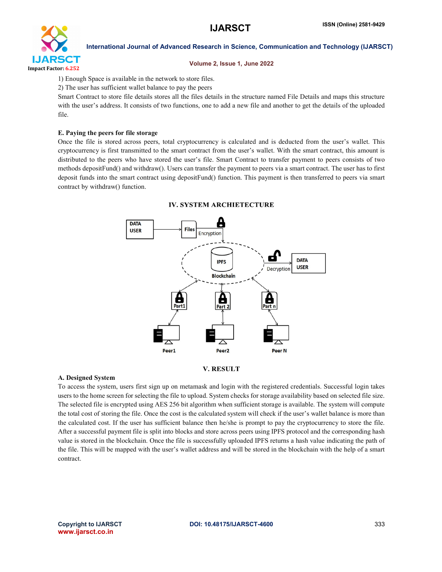

# Volume 2, Issue 1, June 2022

1) Enough Space is available in the network to store files.

2) The user has sufficient wallet balance to pay the peers

Smart Contract to store file details stores all the files details in the structure named File Details and maps this structure with the user's address. It consists of two functions, one to add a new file and another to get the details of the uploaded file.

# E. Paying the peers for file storage

Once the file is stored across peers, total cryptocurrency is calculated and is deducted from the user's wallet. This cryptocurrency is first transmitted to the smart contract from the user's wallet. With the smart contract, this amount is distributed to the peers who have stored the user's file. Smart Contract to transfer payment to peers consists of two methods depositFund() and withdraw(). Users can transfer the payment to peers via a smart contract. The user has to first deposit funds into the smart contract using depositFund() function. This payment is then transferred to peers via smart contract by withdraw() function.



# **IV. SYSTEM ARCHIETECTURE**

# **V. RESULT**

# A. Designed System

To access the system, users first sign up on metamask and login with the registered credentials. Successful login takes users to the home screen for selecting the file to upload. System checks for storage availability based on selected file size. The selected file is encrypted using AES 256 bit algorithm when sufficient storage is available. The system will compute the total cost of storing the file. Once the cost is the calculated system will check if the user's wallet balance is more than the calculated cost. If the user has sufficient balance then he/she is prompt to pay the cryptocurrency to store the file. After a successful payment file is split into blocks and store across peers using IPFS protocol and the corresponding hash value is stored in the blockchain. Once the file is successfully uploaded IPFS returns a hash value indicating the path of the file. This will be mapped with the user's wallet address and will be stored in the blockchain with the help of a smart contract.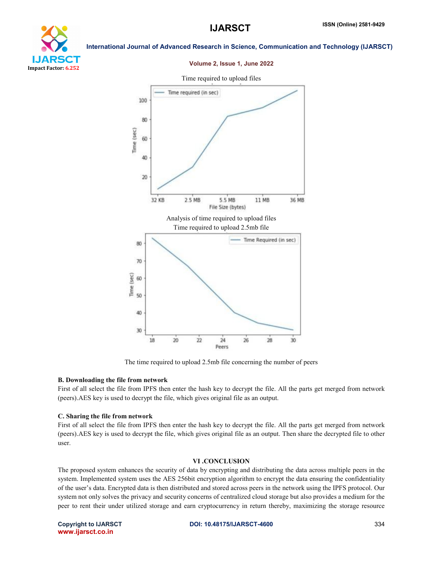# YТ Impact Factor: 6.252

International Journal of Advanced Research in Science, Communication and Technology (IJARSCT)

# Volume 2, Issue 1, June 2022



The time required to upload 2.5mb file concerning the number of peers

# B. Downloading the file from network

First of all select the file from IPFS then enter the hash key to decrypt the file. All the parts get merged from network (peers).AES key is used to decrypt the file, which gives original file as an output.

# C. Sharing the file from network

First of all select the file from IPFS then enter the hash key to decrypt the file. All the parts get merged from network (peers).AES key is used to decrypt the file, which gives original file as an output. Then share the decrypted file to other user.

# VI .CONCLUSION

The proposed system enhances the security of data by encrypting and distributing the data across multiple peers in the system. Implemented system uses the AES 256bit encryption algorithm to encrypt the data ensuring the confidentiality of the user's data. Encrypted data is then distributed and stored across peers in the network using the IPFS protocol. Our system not only solves the privacy and security concerns of centralized cloud storage but also provides a medium for the peer to rent their under utilized storage and earn cryptocurrency in return thereby, maximizing the storage resource

www.ijarsct.co.in